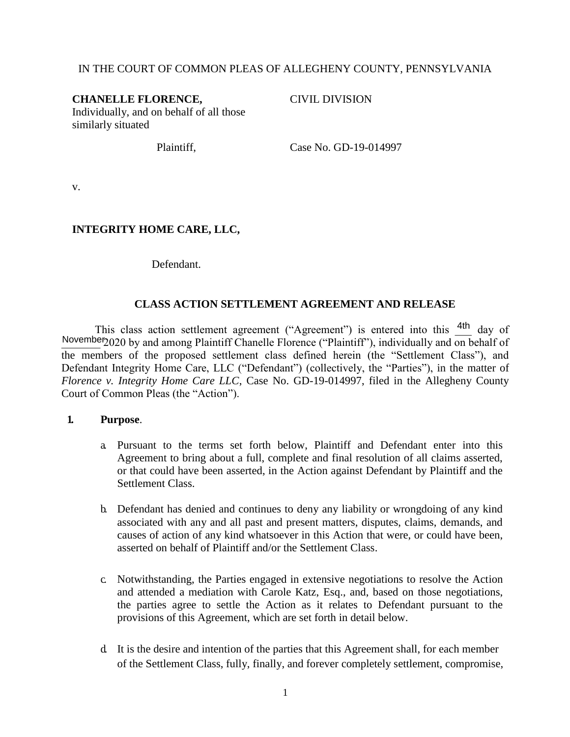### IN THE COURT OF COMMON PLEAS OF ALLEGHENY COUNTY, PENNSYLVANIA

#### **CHANELLE FLORENCE,**

CIVIL DIVISION

Individually, and on behalf of all those similarly situated

Plaintiff, Case No. GD-19-014997

v.

## **INTEGRITY HOME CARE, LLC,**

Defendant.

#### **CLASS ACTION SETTLEMENT AGREEMENT AND RELEASE**

This class action settlement agreement ("Agreement") is entered into this  $4th$  day of November 2020 by and among Plaintiff Chanelle Florence ("Plaintiff"), individually and on behalf of the members of the proposed settlement class defined herein (the "Settlement Class"), and Defendant Integrity Home Care, LLC ("Defendant") (collectively, the "Parties"), in the matter of *Florence v. Integrity Home Care LLC*, Case No. GD-19-014997, filed in the Allegheny County Court of Common Pleas (the "Action").

#### **1. Purpose**.

- a. Pursuant to the terms set forth below, Plaintiff and Defendant enter into this Agreement to bring about a full, complete and final resolution of all claims asserted, or that could have been asserted, in the Action against Defendant by Plaintiff and the Settlement Class.
- b. Defendant has denied and continues to deny any liability or wrongdoing of any kind associated with any and all past and present matters, disputes, claims, demands, and causes of action of any kind whatsoever in this Action that were, or could have been, asserted on behalf of Plaintiff and/or the Settlement Class.
- c. Notwithstanding, the Parties engaged in extensive negotiations to resolve the Action and attended a mediation with Carole Katz, Esq., and, based on those negotiations, the parties agree to settle the Action as it relates to Defendant pursuant to the provisions of this Agreement, which are set forth in detail below.
- d. It is the desire and intention of the parties that this Agreement shall, for each member of the Settlement Class, fully, finally, and forever completely settlement, compromise,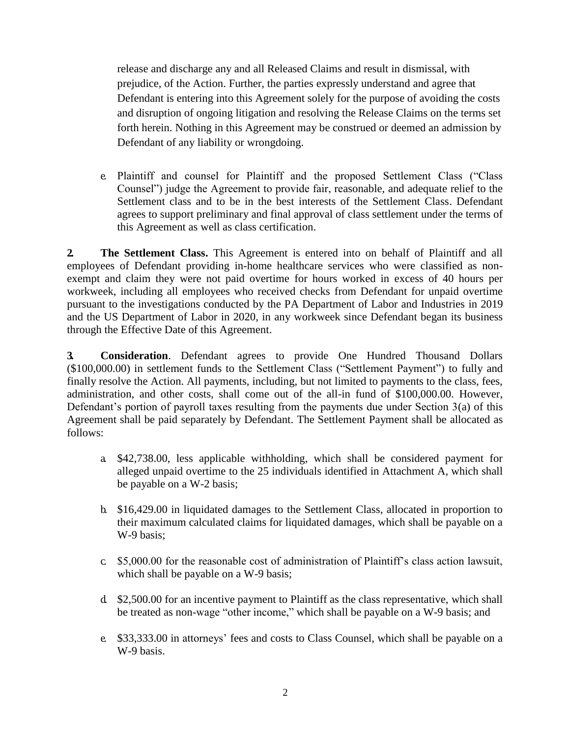release and discharge any and all Released Claims and result in dismissal, with prejudice, of the Action. Further, the parties expressly understand and agree that Defendant is entering into this Agreement solely for the purpose of avoiding the costs and disruption of ongoing litigation and resolving the Release Claims on the terms set forth herein. Nothing in this Agreement may be construed or deemed an admission by Defendant of any liability or wrongdoing.

e. Plaintiff and counsel for Plaintiff and the proposed Settlement Class ("Class Counsel") judge the Agreement to provide fair, reasonable, and adequate relief to the Settlement class and to be in the best interests of the Settlement Class. Defendant agrees to support preliminary and final approval of class settlement under the terms of this Agreement as well as class certification.

**2. The Settlement Class.** This Agreement is entered into on behalf of Plaintiff and all employees of Defendant providing in-home healthcare services who were classified as nonexempt and claim they were not paid overtime for hours worked in excess of 40 hours per workweek, including all employees who received checks from Defendant for unpaid overtime pursuant to the investigations conducted by the PA Department of Labor and Industries in 2019 and the US Department of Labor in 2020, in any workweek since Defendant began its business through the Effective Date of this Agreement.

**3. Consideration**. Defendant agrees to provide One Hundred Thousand Dollars (\$100,000.00) in settlement funds to the Settlement Class ("Settlement Payment") to fully and finally resolve the Action. All payments, including, but not limited to payments to the class, fees, administration, and other costs, shall come out of the all-in fund of \$100,000.00. However, Defendant's portion of payroll taxes resulting from the payments due under Section 3(a) of this Agreement shall be paid separately by Defendant. The Settlement Payment shall be allocated as follows:

- a. \$42,738.00, less applicable withholding, which shall be considered payment for alleged unpaid overtime to the 25 individuals identified in Attachment A, which shall be payable on a W-2 basis;
- b. \$16,429.00 in liquidated damages to the Settlement Class, allocated in proportion to their maximum calculated claims for liquidated damages, which shall be payable on a W-9 basis;
- c. \$5,000.00 for the reasonable cost of administration of Plaintiff's class action lawsuit, which shall be payable on a W-9 basis;
- d. \$2,500.00 for an incentive payment to Plaintiff as the class representative, which shall be treated as non-wage "other income," which shall be payable on a W-9 basis; and
- e. \$33,333.00 in attorneys' fees and costs to Class Counsel, which shall be payable on a W-9 basis.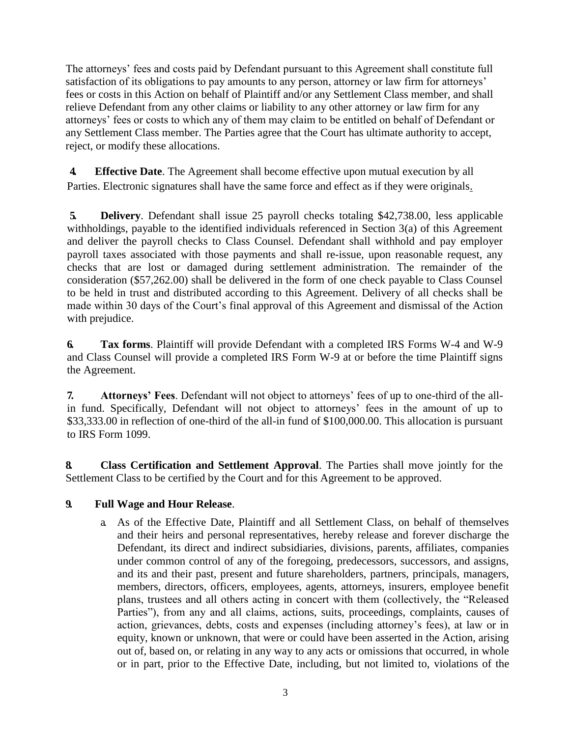The attorneys' fees and costs paid by Defendant pursuant to this Agreement shall constitute full satisfaction of its obligations to pay amounts to any person, attorney or law firm for attorneys' fees or costs in this Action on behalf of Plaintiff and/or any Settlement Class member, and shall relieve Defendant from any other claims or liability to any other attorney or law firm for any attorneys' fees or costs to which any of them may claim to be entitled on behalf of Defendant or any Settlement Class member. The Parties agree that the Court has ultimate authority to accept, reject, or modify these allocations.

**4. Effective Date**. The Agreement shall become effective upon mutual execution by all Parties. Electronic signatures shall have the same force and effect as if they were originals.

**5. Delivery**. Defendant shall issue 25 payroll checks totaling \$42,738.00, less applicable withholdings, payable to the identified individuals referenced in Section 3(a) of this Agreement and deliver the payroll checks to Class Counsel. Defendant shall withhold and pay employer payroll taxes associated with those payments and shall re-issue, upon reasonable request, any checks that are lost or damaged during settlement administration. The remainder of the consideration (\$57,262.00) shall be delivered in the form of one check payable to Class Counsel to be held in trust and distributed according to this Agreement. Delivery of all checks shall be made within 30 days of the Court's final approval of this Agreement and dismissal of the Action with prejudice.

**6. Tax forms**. Plaintiff will provide Defendant with a completed IRS Forms W-4 and W-9 and Class Counsel will provide a completed IRS Form W-9 at or before the time Plaintiff signs the Agreement.

**7. Attorneys' Fees**. Defendant will not object to attorneys' fees of up to one-third of the allin fund. Specifically, Defendant will not object to attorneys' fees in the amount of up to \$33,333.00 in reflection of one-third of the all-in fund of \$100,000.00. This allocation is pursuant to IRS Form 1099.

**8. Class Certification and Settlement Approval**. The Parties shall move jointly for the Settlement Class to be certified by the Court and for this Agreement to be approved.

## **9. Full Wage and Hour Release**.

a. As of the Effective Date, Plaintiff and all Settlement Class, on behalf of themselves and their heirs and personal representatives, hereby release and forever discharge the Defendant, its direct and indirect subsidiaries, divisions, parents, affiliates, companies under common control of any of the foregoing, predecessors, successors, and assigns, and its and their past, present and future shareholders, partners, principals, managers, members, directors, officers, employees, agents, attorneys, insurers, employee benefit plans, trustees and all others acting in concert with them (collectively, the "Released Parties"), from any and all claims, actions, suits, proceedings, complaints, causes of action, grievances, debts, costs and expenses (including attorney's fees), at law or in equity, known or unknown, that were or could have been asserted in the Action, arising out of, based on, or relating in any way to any acts or omissions that occurred, in whole or in part, prior to the Effective Date, including, but not limited to, violations of the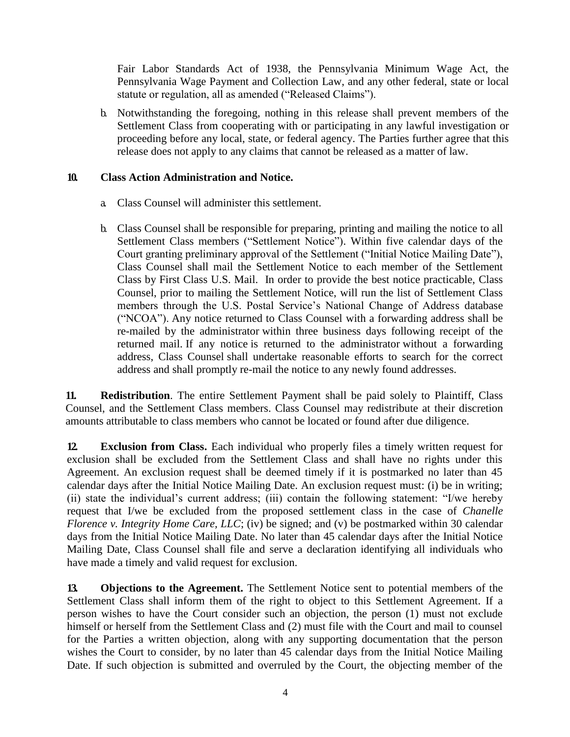Fair Labor Standards Act of 1938, the Pennsylvania Minimum Wage Act, the Pennsylvania Wage Payment and Collection Law, and any other federal, state or local statute or regulation, all as amended ("Released Claims").

b. Notwithstanding the foregoing, nothing in this release shall prevent members of the Settlement Class from cooperating with or participating in any lawful investigation or proceeding before any local, state, or federal agency. The Parties further agree that this release does not apply to any claims that cannot be released as a matter of law.

## **10. Class Action Administration and Notice.**

- a. Class Counsel will administer this settlement.
- b. Class Counsel shall be responsible for preparing, printing and mailing the notice to all Settlement Class members ("Settlement Notice"). Within five calendar days of the Court granting preliminary approval of the Settlement ("Initial Notice Mailing Date"), Class Counsel shall mail the Settlement Notice to each member of the Settlement Class by First Class U.S. Mail. In order to provide the best notice practicable, Class Counsel, prior to mailing the Settlement Notice, will run the list of Settlement Class members through the U.S. Postal Service's National Change of Address database ("NCOA"). Any notice returned to Class Counsel with a forwarding address shall be re-mailed by the administrator within three business days following receipt of the returned mail. If any notice is returned to the administrator without a forwarding address, Class Counsel shall undertake reasonable efforts to search for the correct address and shall promptly re-mail the notice to any newly found addresses.

**11. Redistribution**. The entire Settlement Payment shall be paid solely to Plaintiff, Class Counsel, and the Settlement Class members. Class Counsel may redistribute at their discretion amounts attributable to class members who cannot be located or found after due diligence.

**12. Exclusion from Class.** Each individual who properly files a timely written request for exclusion shall be excluded from the Settlement Class and shall have no rights under this Agreement. An exclusion request shall be deemed timely if it is postmarked no later than 45 calendar days after the Initial Notice Mailing Date. An exclusion request must: (i) be in writing; (ii) state the individual's current address; (iii) contain the following statement: "I/we hereby request that I/we be excluded from the proposed settlement class in the case of *Chanelle Florence v. Integrity Home Care, LLC*; (iv) be signed; and (v) be postmarked within 30 calendar days from the Initial Notice Mailing Date. No later than 45 calendar days after the Initial Notice Mailing Date, Class Counsel shall file and serve a declaration identifying all individuals who have made a timely and valid request for exclusion.

**13. Objections to the Agreement.** The Settlement Notice sent to potential members of the Settlement Class shall inform them of the right to object to this Settlement Agreement. If a person wishes to have the Court consider such an objection, the person (1) must not exclude himself or herself from the Settlement Class and (2) must file with the Court and mail to counsel for the Parties a written objection, along with any supporting documentation that the person wishes the Court to consider, by no later than 45 calendar days from the Initial Notice Mailing Date. If such objection is submitted and overruled by the Court, the objecting member of the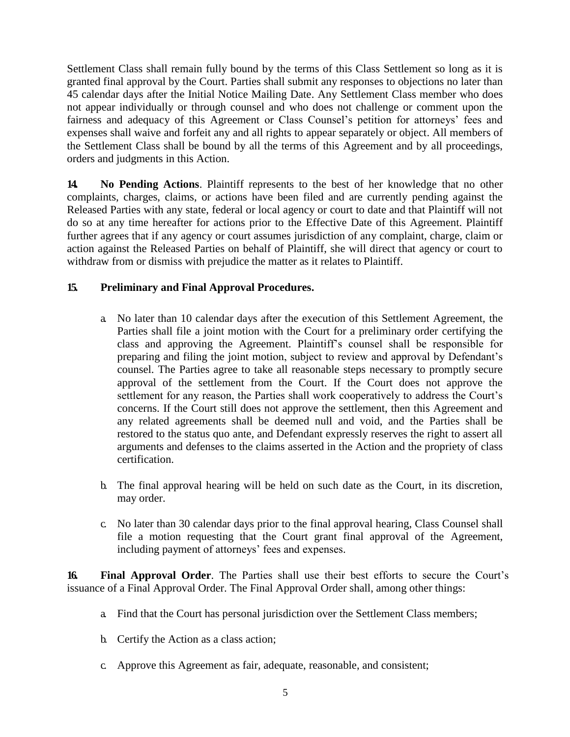Settlement Class shall remain fully bound by the terms of this Class Settlement so long as it is granted final approval by the Court. Parties shall submit any responses to objections no later than 45 calendar days after the Initial Notice Mailing Date. Any Settlement Class member who does not appear individually or through counsel and who does not challenge or comment upon the fairness and adequacy of this Agreement or Class Counsel's petition for attorneys' fees and expenses shall waive and forfeit any and all rights to appear separately or object. All members of the Settlement Class shall be bound by all the terms of this Agreement and by all proceedings, orders and judgments in this Action.

**14. No Pending Actions**. Plaintiff represents to the best of her knowledge that no other complaints, charges, claims, or actions have been filed and are currently pending against the Released Parties with any state, federal or local agency or court to date and that Plaintiff will not do so at any time hereafter for actions prior to the Effective Date of this Agreement. Plaintiff further agrees that if any agency or court assumes jurisdiction of any complaint, charge, claim or action against the Released Parties on behalf of Plaintiff, she will direct that agency or court to withdraw from or dismiss with prejudice the matter as it relates to Plaintiff.

# **15. Preliminary and Final Approval Procedures.**

- a. No later than 10 calendar days after the execution of this Settlement Agreement, the Parties shall file a joint motion with the Court for a preliminary order certifying the class and approving the Agreement. Plaintiff's counsel shall be responsible for preparing and filing the joint motion, subject to review and approval by Defendant's counsel. The Parties agree to take all reasonable steps necessary to promptly secure approval of the settlement from the Court. If the Court does not approve the settlement for any reason, the Parties shall work cooperatively to address the Court's concerns. If the Court still does not approve the settlement, then this Agreement and any related agreements shall be deemed null and void, and the Parties shall be restored to the status quo ante, and Defendant expressly reserves the right to assert all arguments and defenses to the claims asserted in the Action and the propriety of class certification.
- b. The final approval hearing will be held on such date as the Court, in its discretion, may order.
- c. No later than 30 calendar days prior to the final approval hearing, Class Counsel shall file a motion requesting that the Court grant final approval of the Agreement, including payment of attorneys' fees and expenses.

**16. Final Approval Order**. The Parties shall use their best efforts to secure the Court's issuance of a Final Approval Order. The Final Approval Order shall, among other things:

- a. Find that the Court has personal jurisdiction over the Settlement Class members;
- b. Certify the Action as a class action;
- c. Approve this Agreement as fair, adequate, reasonable, and consistent;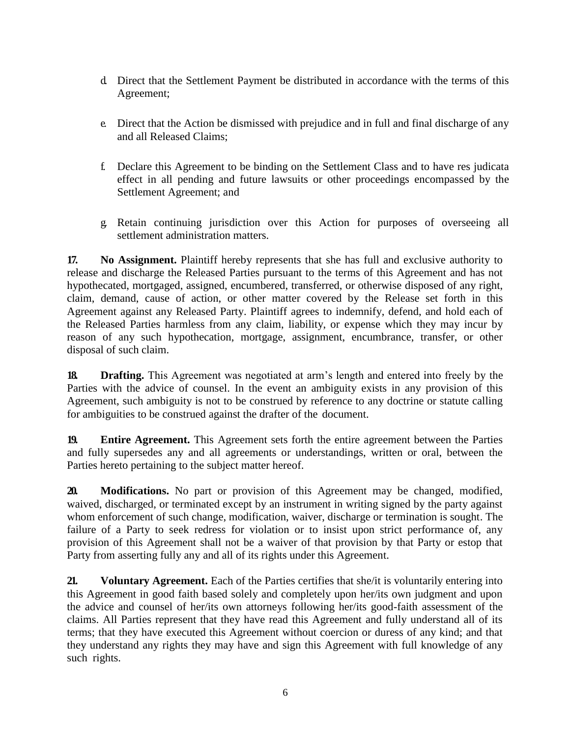- d. Direct that the Settlement Payment be distributed in accordance with the terms of this Agreement;
- e. Direct that the Action be dismissed with prejudice and in full and final discharge of any and all Released Claims;
- f. Declare this Agreement to be binding on the Settlement Class and to have res judicata effect in all pending and future lawsuits or other proceedings encompassed by the Settlement Agreement; and
- g. Retain continuing jurisdiction over this Action for purposes of overseeing all settlement administration matters.

**17. No Assignment.** Plaintiff hereby represents that she has full and exclusive authority to release and discharge the Released Parties pursuant to the terms of this Agreement and has not hypothecated, mortgaged, assigned, encumbered, transferred, or otherwise disposed of any right, claim, demand, cause of action, or other matter covered by the Release set forth in this Agreement against any Released Party. Plaintiff agrees to indemnify, defend, and hold each of the Released Parties harmless from any claim, liability, or expense which they may incur by reason of any such hypothecation, mortgage, assignment, encumbrance, transfer, or other disposal of such claim.

**18. Drafting.** This Agreement was negotiated at arm's length and entered into freely by the Parties with the advice of counsel. In the event an ambiguity exists in any provision of this Agreement, such ambiguity is not to be construed by reference to any doctrine or statute calling for ambiguities to be construed against the drafter of the document.

**19. Entire Agreement.** This Agreement sets forth the entire agreement between the Parties and fully supersedes any and all agreements or understandings, written or oral, between the Parties hereto pertaining to the subject matter hereof.

**20. Modifications.** No part or provision of this Agreement may be changed, modified, waived, discharged, or terminated except by an instrument in writing signed by the party against whom enforcement of such change, modification, waiver, discharge or termination is sought. The failure of a Party to seek redress for violation or to insist upon strict performance of, any provision of this Agreement shall not be a waiver of that provision by that Party or estop that Party from asserting fully any and all of its rights under this Agreement.

**21. Voluntary Agreement.** Each of the Parties certifies that she/it is voluntarily entering into this Agreement in good faith based solely and completely upon her/its own judgment and upon the advice and counsel of her/its own attorneys following her/its good-faith assessment of the claims. All Parties represent that they have read this Agreement and fully understand all of its terms; that they have executed this Agreement without coercion or duress of any kind; and that they understand any rights they may have and sign this Agreement with full knowledge of any such rights.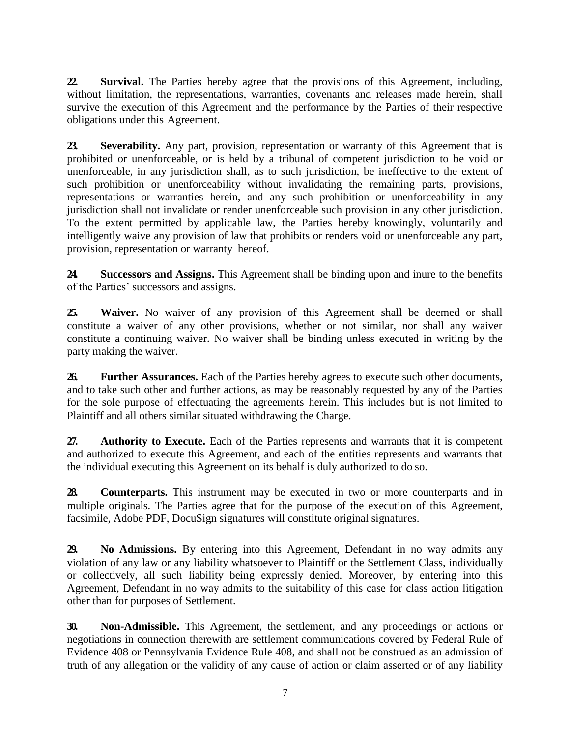**22. Survival.** The Parties hereby agree that the provisions of this Agreement, including, without limitation, the representations, warranties, covenants and releases made herein, shall survive the execution of this Agreement and the performance by the Parties of their respective obligations under this Agreement.

**23. Severability.** Any part, provision, representation or warranty of this Agreement that is prohibited or unenforceable, or is held by a tribunal of competent jurisdiction to be void or unenforceable, in any jurisdiction shall, as to such jurisdiction, be ineffective to the extent of such prohibition or unenforceability without invalidating the remaining parts, provisions, representations or warranties herein, and any such prohibition or unenforceability in any jurisdiction shall not invalidate or render unenforceable such provision in any other jurisdiction. To the extent permitted by applicable law, the Parties hereby knowingly, voluntarily and intelligently waive any provision of law that prohibits or renders void or unenforceable any part, provision, representation or warranty hereof.

**24. Successors and Assigns.** This Agreement shall be binding upon and inure to the benefits of the Parties' successors and assigns.

**25. Waiver.** No waiver of any provision of this Agreement shall be deemed or shall constitute a waiver of any other provisions, whether or not similar, nor shall any waiver constitute a continuing waiver. No waiver shall be binding unless executed in writing by the party making the waiver.

**26. Further Assurances.** Each of the Parties hereby agrees to execute such other documents, and to take such other and further actions, as may be reasonably requested by any of the Parties for the sole purpose of effectuating the agreements herein. This includes but is not limited to Plaintiff and all others similar situated withdrawing the Charge.

**27. Authority to Execute.** Each of the Parties represents and warrants that it is competent and authorized to execute this Agreement, and each of the entities represents and warrants that the individual executing this Agreement on its behalf is duly authorized to do so.

**28. Counterparts.** This instrument may be executed in two or more counterparts and in multiple originals. The Parties agree that for the purpose of the execution of this Agreement, facsimile, Adobe PDF, DocuSign signatures will constitute original signatures.

**29. No Admissions.** By entering into this Agreement, Defendant in no way admits any violation of any law or any liability whatsoever to Plaintiff or the Settlement Class, individually or collectively, all such liability being expressly denied. Moreover, by entering into this Agreement, Defendant in no way admits to the suitability of this case for class action litigation other than for purposes of Settlement.

**30. Non-Admissible.** This Agreement, the settlement, and any proceedings or actions or negotiations in connection therewith are settlement communications covered by Federal Rule of Evidence 408 or Pennsylvania Evidence Rule 408, and shall not be construed as an admission of truth of any allegation or the validity of any cause of action or claim asserted or of any liability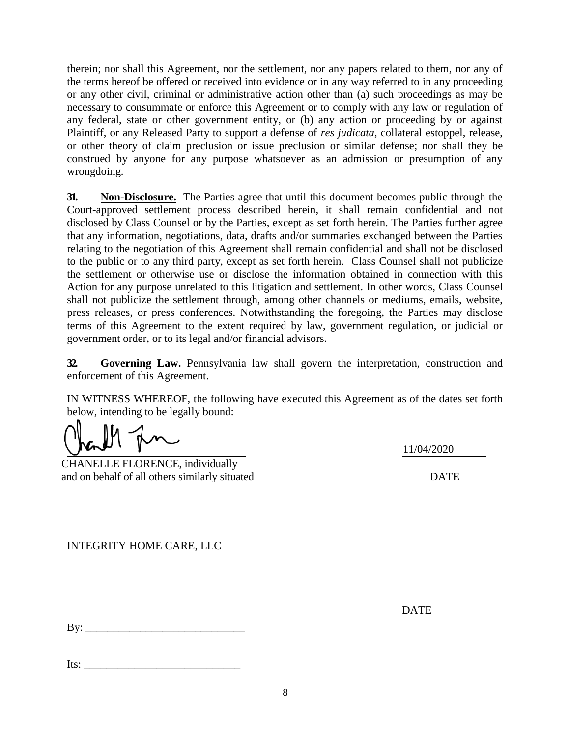therein; nor shall this Agreement, nor the settlement, nor any papers related to them, nor any of the terms hereof be offered or received into evidence or in any way referred to in any proceeding or any other civil, criminal or administrative action other than (a) such proceedings as may be necessary to consummate or enforce this Agreement or to comply with any law or regulation of any federal, state or other government entity, or (b) any action or proceeding by or against Plaintiff, or any Released Party to support a defense of *res judicata*, collateral estoppel, release, or other theory of claim preclusion or issue preclusion or similar defense; nor shall they be construed by anyone for any purpose whatsoever as an admission or presumption of any wrongdoing.

**31. Non-Disclosure.** The Parties agree that until this document becomes public through the Court-approved settlement process described herein, it shall remain confidential and not disclosed by Class Counsel or by the Parties, except as set forth herein. The Parties further agree that any information, negotiations, data, drafts and/or summaries exchanged between the Parties relating to the negotiation of this Agreement shall remain confidential and shall not be disclosed to the public or to any third party, except as set forth herein. Class Counsel shall not publicize the settlement or otherwise use or disclose the information obtained in connection with this Action for any purpose unrelated to this litigation and settlement. In other words, Class Counsel shall not publicize the settlement through, among other channels or mediums, emails, website, press releases, or press conferences. Notwithstanding the foregoing, the Parties may disclose terms of this Agreement to the extent required by law, government regulation, or judicial or government order, or to its legal and/or financial advisors.

**32. Governing Law.** Pennsylvania law shall govern the interpretation, construction and enforcement of this Agreement.

IN WITNESS WHEREOF, the following have executed this Agreement as of the dates set forth below, intending to be legally bound:

CHANELLE FLORENCE, individually and on behalf of all others similarly situated DATE

11/04/2020

INTEGRITY HOME CARE, LLC

By: \_\_\_\_\_\_\_\_\_\_\_\_\_\_\_\_\_\_\_\_\_\_\_\_\_\_\_\_\_

**DATE** 

Its: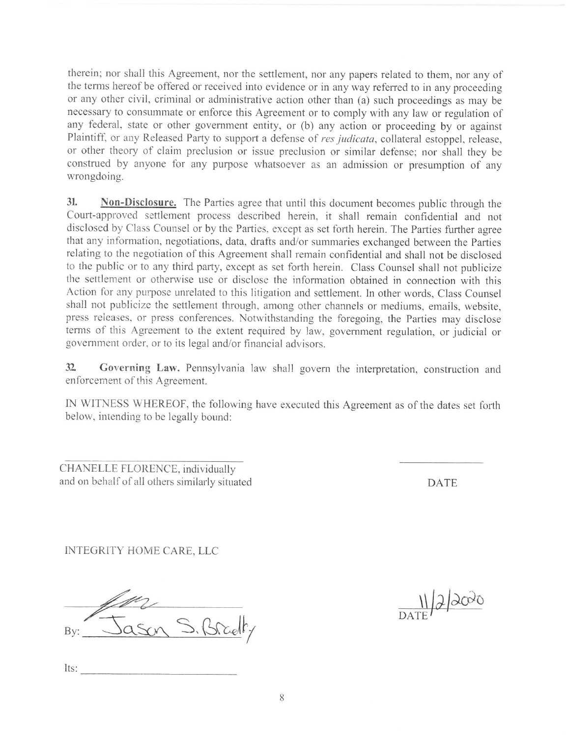therein; nor shall this Agreement, nor the settlement, nor any papers related to them, nor any of the terms hereof be offered or received into evidence or in any way referred to in any proceeding or any other civil, criminal or administrative action other than (a) such proceedings as may be necessary to consummate or enforce this Agreement or to comply with any law or regulation of any federal, state or other government entity, or (b) any action or proceeding by or against Plaintiff, or any Released Party to support a defense of res judicata, collateral estoppel, release, or other theory of claim preclusion or issue preclusion or similar defense; nor shall they be construed by anyone for any purpose whatsoever as an admission or presumption of any wrongdoing.

31. Non-Disclosure. The Parties agree that until this document becomes public through the Court-approved settlement process described herein, it shall remain confidential and not disclosed by Class Counsel or by the Parties, except as set forth herein. The Parties further agree that any information, negotiations, data, drafts and/or summaries exchanged between the Parties relating to the negotiation of this Agreement shall remain confidential and shall not be disclosed to the public or to any third party, except as set forth herein. Class Counsel shall not publicize the settlement or otherwise use or disclose the information obtained in connection with this Action for any purpose unrelated to this litigation and settlement. In other words, Class Counsel shall not publicize the settlement through, among other channels or mediums, emails, website, press releases, or press conferences. Notwithstanding the foregoing, the Parties may disclose terms of this Agreement to the extent required by law, government regulation, or judicial or government order, or to its legal and/or financial advisors.

 $32$ Governing Law. Pennsylvania law shall govern the interpretation, construction and enforcement of this Agreement.

IN WITNESS WHEREOF, the following have executed this Agreement as of the dates set forth below, intending to be legally bound:

CHANELLE FLORENCE, individually and on behalf of all others similarly situated

**DATE** 

INTEGRITY HOME CARE, LLC

S. Bradty

 $\frac{1}{\text{DATF}}\sqrt{2}\sqrt{200}$ 

Its: